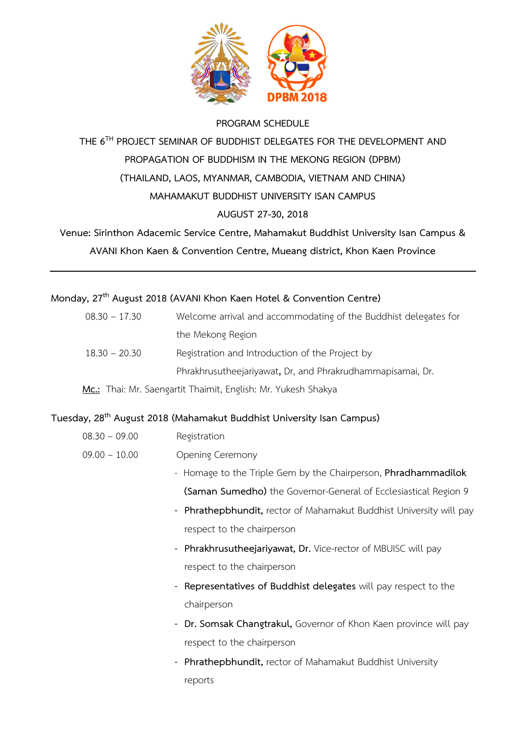

#### **PROGRAM SCHEDULE**

# **THE 6TH PROJECT SEMINAR OF BUDDHIST DELEGATES FOR THE DEVELOPMENT AND PROPAGATION OF BUDDHISM IN THE MEKONG REGION (DPBM) (THAILAND, LAOS, MYANMAR, CAMBODIA, VIETNAM AND CHINA) MAHAMAKUT BUDDHIST UNIVERSITY ISAN CAMPUS AUGUST 27-30, 2018**

# **Venue: Sirinthon Adacemic Service Centre, Mahamakut Buddhist University Isan Campus &**

**AVANI Khon Kaen & Convention Centre, Mueang district, Khon Kaen Province**

### **Monday, 27th August 2018 (AVANI Khon Kaen Hotel & Convention Centre)**

| $08.30 - 17.30$ | Welcome arrival and accommodating of the Buddhist delegates for |
|-----------------|-----------------------------------------------------------------|
|                 | the Mekong Region                                               |
| $18.30 - 20.30$ | Registration and Introduction of the Project by                 |
|                 | Phrakhrusutheejariyawat, Dr, and Phrakrudhammapisamai, Dr.      |
|                 |                                                                 |

### **Mc.:** Thai: Mr. Saengartit Thaimit, English: Mr. Yukesh Shakya

### **Tuesday, 28th August 2018 (Mahamakut Buddhist University Isan Campus)**

- 08.30 09.00 Registration
- 09.00 10.00 Opening Ceremony
	- Homage to the Triple Gem by the Chairperson, **Phradhammadilok (Saman Sumedho)** the Governor-General of Ecclesiastical Region 9
	- **Phrathepbhundit,** rector of Mahamakut Buddhist University will pay respect to the chairperson
	- **Phrakhrusutheejariyawat, Dr.** Vice-rector of MBUISC will pay respect to the chairperson
	- **Representatives of Buddhist delegates** will pay respect to the chairperson
	- **Dr. Somsak Changtrakul,** Governor of Khon Kaen province will pay respect to the chairperson
	- **Phrathepbhundit,** rector of Mahamakut Buddhist University reports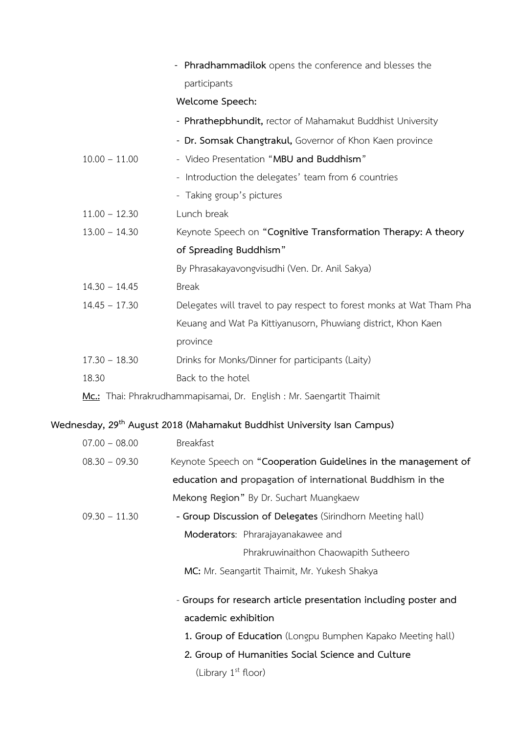|                                                                       | - Phradhammadilok opens the conference and blesses the               |  |
|-----------------------------------------------------------------------|----------------------------------------------------------------------|--|
|                                                                       | participants                                                         |  |
|                                                                       | Welcome Speech:                                                      |  |
|                                                                       | - Phrathepbhundit, rector of Mahamakut Buddhist University           |  |
|                                                                       | - Dr. Somsak Changtrakul, Governor of Khon Kaen province             |  |
| $10.00 - 11.00$                                                       | - Video Presentation "MBU and Buddhism"                              |  |
|                                                                       | - Introduction the delegates' team from 6 countries                  |  |
|                                                                       | - Taking group's pictures                                            |  |
| $11.00 - 12.30$                                                       | Lunch break                                                          |  |
| $13.00 - 14.30$                                                       | Keynote Speech on "Cognitive Transformation Therapy: A theory        |  |
|                                                                       | of Spreading Buddhism"                                               |  |
|                                                                       | By Phrasakayavongvisudhi (Ven. Dr. Anil Sakya)                       |  |
| $14.30 - 14.45$                                                       | <b>Break</b>                                                         |  |
| $14.45 - 17.30$                                                       | Delegates will travel to pay respect to forest monks at Wat Tham Pha |  |
|                                                                       | Keuang and Wat Pa Kittiyanusorn, Phuwiang district, Khon Kaen        |  |
|                                                                       | province                                                             |  |
| $17.30 - 18.30$                                                       | Drinks for Monks/Dinner for participants (Laity)                     |  |
| 18.30                                                                 | Back to the hotel                                                    |  |
| Mc.: Thai: Phrakrudhammapisamai, Dr. English : Mr. Saengartit Thaimit |                                                                      |  |
|                                                                       |                                                                      |  |

# **Wednesday, 29th August 2018 (Mahamakut Buddhist University Isan Campus)**

| $07.00 - 08.00$ | <b>Breakfast</b>                                                |
|-----------------|-----------------------------------------------------------------|
| $08.30 - 09.30$ | Keynote Speech on "Cooperation Guidelines in the management of  |
|                 | education and propagation of international Buddhism in the      |
|                 | Mekong Region" By Dr. Suchart Muangkaew                         |
| $09.30 - 11.30$ | - Group Discussion of Delegates (Sirindhorn Meeting hall)       |
|                 | Moderators: Phrarajayanakawee and                               |
|                 | Phrakruwinaithon Chaowapith Sutheero                            |
|                 | MC: Mr. Seangartit Thaimit, Mr. Yukesh Shakya                   |
|                 | - Groups for research article presentation including poster and |
|                 | academic exhibition                                             |
|                 | 1. Group of Education (Longpu Bumphen Kapako Meeting hall)      |
|                 | 2. Group of Humanities Social Science and Culture               |
|                 | (Library 1 <sup>st</sup> floor)                                 |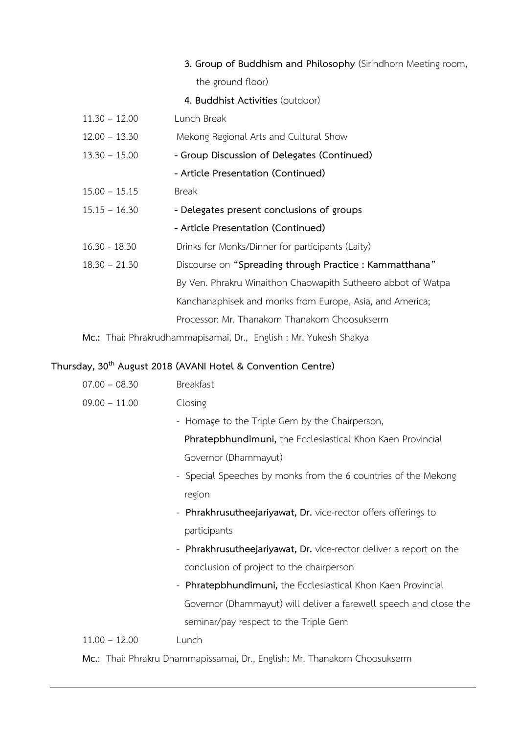### **3. Group of Buddhism and Philosophy** (Sirindhorn Meeting room, the ground floor)

**4. Buddhist Activities** (outdoor)

- 11.30 12.00 Lunch Break
- 12.00 13.30 Mekong Regional Arts and Cultural Show
- 13.30 15.00 **- Group Discussion of Delegates (Continued)**
	- **- Article Presentation (Continued)**
- 15.00 15.15 Break
- 15.15 16.30 **- Delegates present conclusions of groups**
	- **- Article Presentation (Continued)**
- 16.30 18.30 Drinks for Monks/Dinner for participants (Laity)
- 18.30 21.30 Discourse on **"Spreading through Practice : Kammatthana"**  By Ven. Phrakru Winaithon Chaowapith Sutheero abbot of Watpa Kanchanaphisek and monks from Europe, Asia, and America; Processor: Mr. Thanakorn Thanakorn Choosukserm

**Mc.:** Thai: Phrakrudhammapisamai, Dr., English : Mr. Yukesh Shakya

### **Thursday, 30th August 2018 (AVANI Hotel & Convention Centre)**

- 09.00 11.00 Closing
	- Homage to the Triple Gem by the Chairperson,

**Phratepbhundimuni,** the Ecclesiastical Khon Kaen Provincial Governor (Dhammayut)

- Special Speeches by monks from the 6 countries of the Mekong region
- **Phrakhrusutheejariyawat, Dr.** vice-rector offers offerings to participants
- **Phrakhrusutheejariyawat, Dr.** vice-rector deliver a report on the conclusion of project to the chairperson
- **Phratepbhundimuni,** the Ecclesiastical Khon Kaen Provincial Governor (Dhammayut) will deliver a farewell speech and close the seminar/pay respect to the Triple Gem

#### 11.00 – 12.00 Lunch

**Mc.**: Thai: Phrakru Dhammapissamai, Dr., English: Mr. Thanakorn Choosukserm